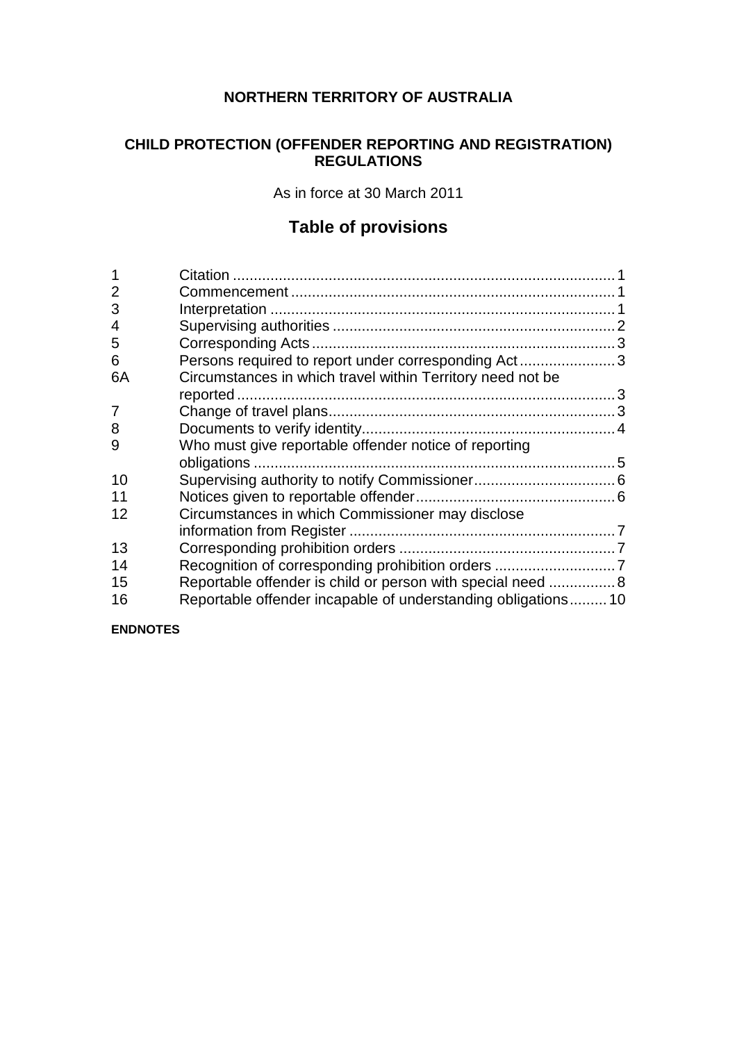# **NORTHERN TERRITORY OF AUSTRALIA**

# **CHILD PROTECTION (OFFENDER REPORTING AND REGISTRATION) REGULATIONS**

As in force at 30 March 2011

# **Table of provisions**

| $\overline{2}$ |                                                              |  |
|----------------|--------------------------------------------------------------|--|
| 3              |                                                              |  |
| 4              |                                                              |  |
| 5              |                                                              |  |
| 6              | Persons required to report under corresponding Act3          |  |
| 6A             | Circumstances in which travel within Territory need not be   |  |
|                |                                                              |  |
| 7              |                                                              |  |
| 8              |                                                              |  |
| 9              | Who must give reportable offender notice of reporting        |  |
|                |                                                              |  |
| 10             |                                                              |  |
| 11             |                                                              |  |
| 12             | Circumstances in which Commissioner may disclose             |  |
|                |                                                              |  |
| 13             |                                                              |  |
| 14             |                                                              |  |
| 15             | Reportable offender is child or person with special need  8  |  |
| 16             | Reportable offender incapable of understanding obligations10 |  |

**ENDNOTES**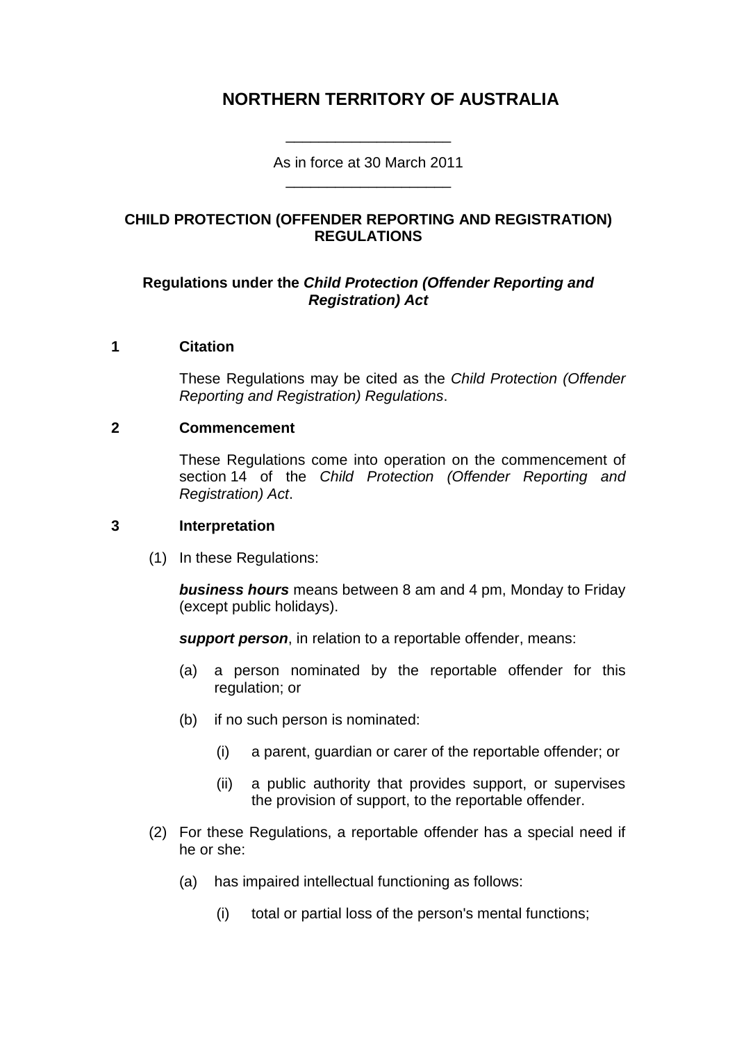# **NORTHERN TERRITORY OF AUSTRALIA**

As in force at 30 March 2011 \_\_\_\_\_\_\_\_\_\_\_\_\_\_\_\_\_\_\_\_

\_\_\_\_\_\_\_\_\_\_\_\_\_\_\_\_\_\_\_\_

## **CHILD PROTECTION (OFFENDER REPORTING AND REGISTRATION) REGULATIONS**

### **Regulations under the** *Child Protection (Offender Reporting and Registration) Act*

#### **1 Citation**

These Regulations may be cited as the *Child Protection (Offender Reporting and Registration) Regulations*.

#### **2 Commencement**

These Regulations come into operation on the commencement of section 14 of the *Child Protection (Offender Reporting and Registration) Act*.

#### **3 Interpretation**

(1) In these Regulations:

*business hours* means between 8 am and 4 pm, Monday to Friday (except public holidays).

*support person*, in relation to a reportable offender, means:

- (a) a person nominated by the reportable offender for this regulation; or
- (b) if no such person is nominated:
	- (i) a parent, guardian or carer of the reportable offender; or
	- (ii) a public authority that provides support, or supervises the provision of support, to the reportable offender.
- (2) For these Regulations, a reportable offender has a special need if he or she:
	- (a) has impaired intellectual functioning as follows:
		- (i) total or partial loss of the person's mental functions;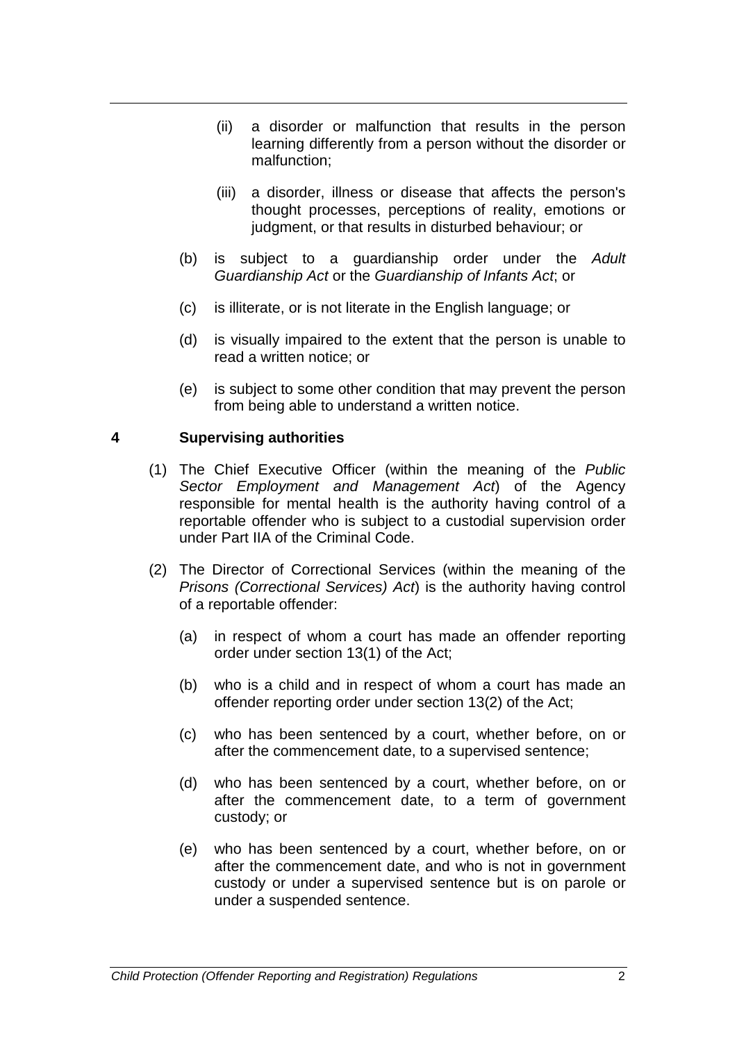- (ii) a disorder or malfunction that results in the person learning differently from a person without the disorder or malfunction;
- (iii) a disorder, illness or disease that affects the person's thought processes, perceptions of reality, emotions or judgment, or that results in disturbed behaviour; or
- (b) is subject to a guardianship order under the *Adult Guardianship Act* or the *Guardianship of Infants Act*; or
- (c) is illiterate, or is not literate in the English language; or
- (d) is visually impaired to the extent that the person is unable to read a written notice; or
- (e) is subject to some other condition that may prevent the person from being able to understand a written notice.

#### **4 Supervising authorities**

- (1) The Chief Executive Officer (within the meaning of the *Public Sector Employment and Management Act*) of the Agency responsible for mental health is the authority having control of a reportable offender who is subject to a custodial supervision order under Part IIA of the Criminal Code.
- (2) The Director of Correctional Services (within the meaning of the *Prisons (Correctional Services) Act*) is the authority having control of a reportable offender:
	- (a) in respect of whom a court has made an offender reporting order under section 13(1) of the Act;
	- (b) who is a child and in respect of whom a court has made an offender reporting order under section 13(2) of the Act;
	- (c) who has been sentenced by a court, whether before, on or after the commencement date, to a supervised sentence;
	- (d) who has been sentenced by a court, whether before, on or after the commencement date, to a term of government custody; or
	- (e) who has been sentenced by a court, whether before, on or after the commencement date, and who is not in government custody or under a supervised sentence but is on parole or under a suspended sentence.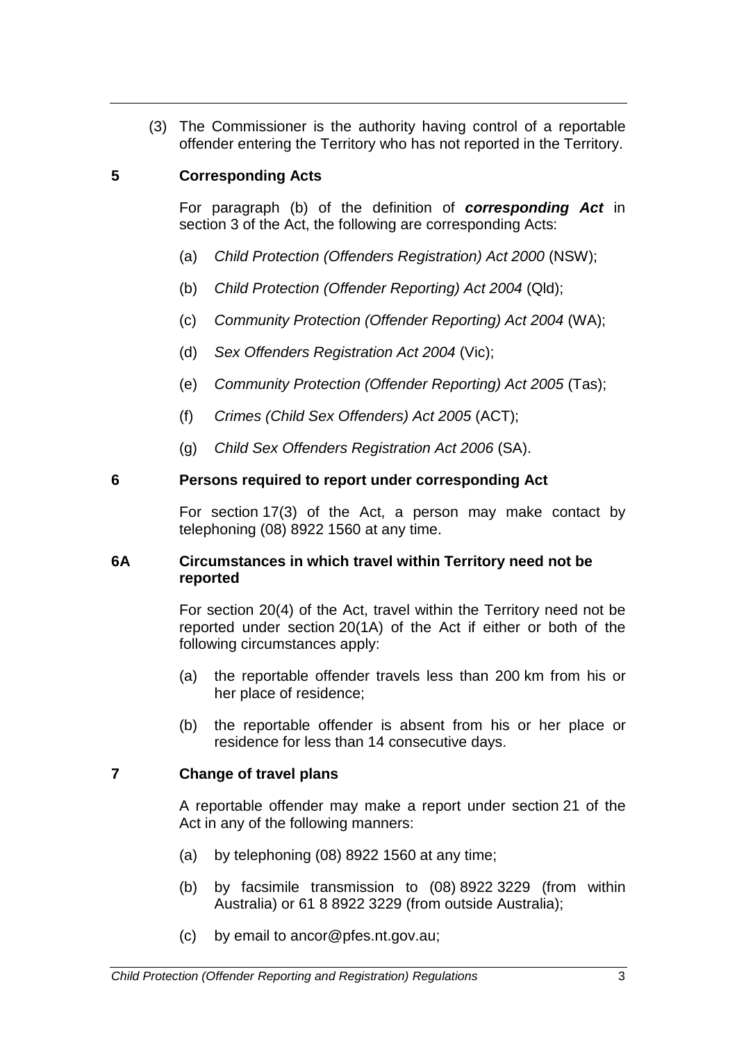(3) The Commissioner is the authority having control of a reportable offender entering the Territory who has not reported in the Territory.

# **5 Corresponding Acts**

For paragraph (b) of the definition of *corresponding Act* in section 3 of the Act, the following are corresponding Acts:

- (a) *Child Protection (Offenders Registration) Act 2000* (NSW);
- (b) *Child Protection (Offender Reporting) Act 2004* (Qld);
- (c) *Community Protection (Offender Reporting) Act 2004* (WA);
- (d) *Sex Offenders Registration Act 2004* (Vic);
- (e) *Community Protection (Offender Reporting) Act 2005* (Tas);
- (f) *Crimes (Child Sex Offenders) Act 2005* (ACT);
- (g) *Child Sex Offenders Registration Act 2006* (SA).

# **6 Persons required to report under corresponding Act**

For section 17(3) of the Act, a person may make contact by telephoning (08) 8922 1560 at any time.

### **6A Circumstances in which travel within Territory need not be reported**

For section 20(4) of the Act, travel within the Territory need not be reported under section 20(1A) of the Act if either or both of the following circumstances apply:

- (a) the reportable offender travels less than 200 km from his or her place of residence;
- (b) the reportable offender is absent from his or her place or residence for less than 14 consecutive days.

# **7 Change of travel plans**

A reportable offender may make a report under section 21 of the Act in any of the following manners:

- (a) by telephoning (08) 8922 1560 at any time;
- (b) by facsimile transmission to (08) 8922 3229 (from within Australia) or 61 8 8922 3229 (from outside Australia);
- (c) by email to ancor@pfes.nt.gov.au;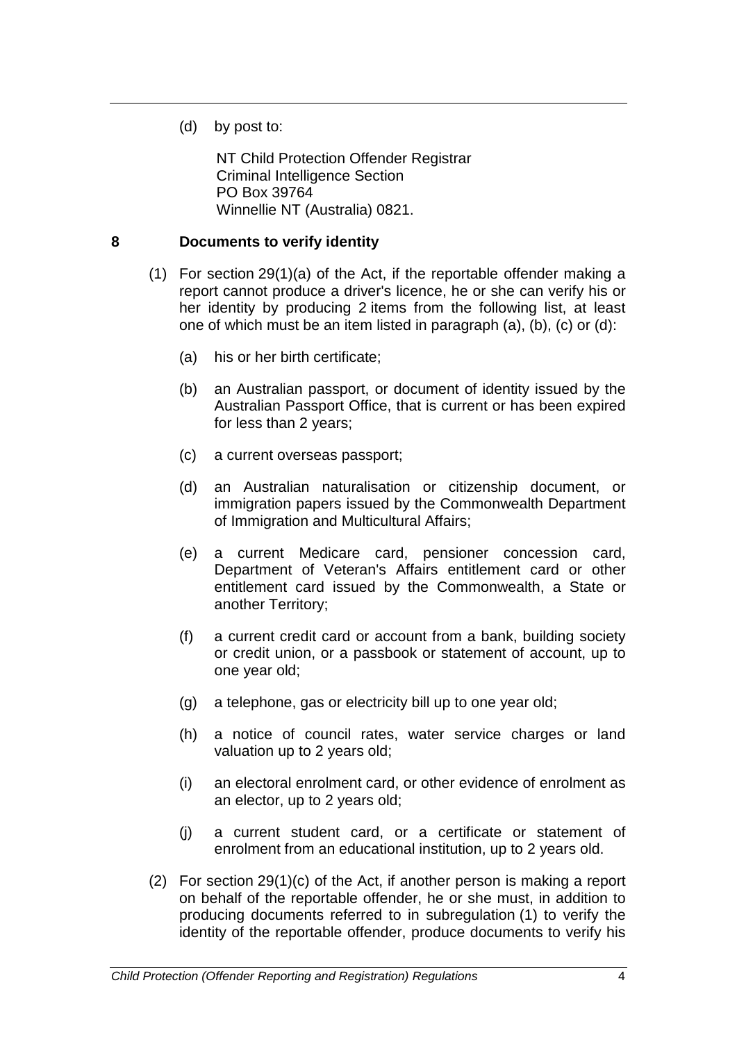(d) by post to:

NT Child Protection Offender Registrar Criminal Intelligence Section PO Box 39764 Winnellie NT (Australia) 0821.

### **8 Documents to verify identity**

- (1) For section 29(1)(a) of the Act, if the reportable offender making a report cannot produce a driver's licence, he or she can verify his or her identity by producing 2 items from the following list, at least one of which must be an item listed in paragraph (a), (b), (c) or (d):
	- (a) his or her birth certificate;
	- (b) an Australian passport, or document of identity issued by the Australian Passport Office, that is current or has been expired for less than 2 years;
	- (c) a current overseas passport;
	- (d) an Australian naturalisation or citizenship document, or immigration papers issued by the Commonwealth Department of Immigration and Multicultural Affairs;
	- (e) a current Medicare card, pensioner concession card, Department of Veteran's Affairs entitlement card or other entitlement card issued by the Commonwealth, a State or another Territory;
	- (f) a current credit card or account from a bank, building society or credit union, or a passbook or statement of account, up to one year old;
	- (g) a telephone, gas or electricity bill up to one year old;
	- (h) a notice of council rates, water service charges or land valuation up to 2 years old;
	- (i) an electoral enrolment card, or other evidence of enrolment as an elector, up to 2 years old;
	- (j) a current student card, or a certificate or statement of enrolment from an educational institution, up to 2 years old.
- (2) For section 29(1)(c) of the Act, if another person is making a report on behalf of the reportable offender, he or she must, in addition to producing documents referred to in subregulation (1) to verify the identity of the reportable offender, produce documents to verify his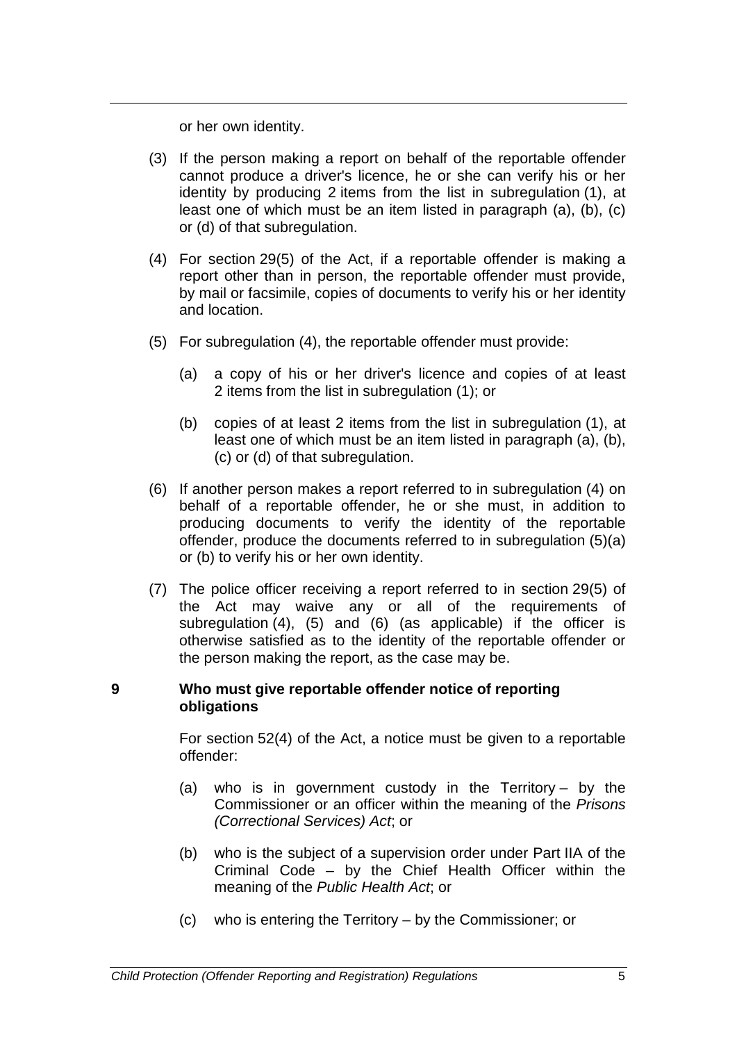or her own identity.

- (3) If the person making a report on behalf of the reportable offender cannot produce a driver's licence, he or she can verify his or her identity by producing 2 items from the list in subregulation (1), at least one of which must be an item listed in paragraph (a), (b), (c) or (d) of that subregulation.
- (4) For section 29(5) of the Act, if a reportable offender is making a report other than in person, the reportable offender must provide, by mail or facsimile, copies of documents to verify his or her identity and location.
- (5) For subregulation (4), the reportable offender must provide:
	- (a) a copy of his or her driver's licence and copies of at least 2 items from the list in subregulation (1); or
	- (b) copies of at least 2 items from the list in subregulation (1), at least one of which must be an item listed in paragraph (a), (b), (c) or (d) of that subregulation.
- (6) If another person makes a report referred to in subregulation (4) on behalf of a reportable offender, he or she must, in addition to producing documents to verify the identity of the reportable offender, produce the documents referred to in subregulation (5)(a) or (b) to verify his or her own identity.
- (7) The police officer receiving a report referred to in section 29(5) of the Act may waive any or all of the requirements of subregulation (4), (5) and (6) (as applicable) if the officer is otherwise satisfied as to the identity of the reportable offender or the person making the report, as the case may be.

#### **9 Who must give reportable offender notice of reporting obligations**

For section 52(4) of the Act, a notice must be given to a reportable offender:

- (a) who is in government custody in the Territory by the Commissioner or an officer within the meaning of the *Prisons (Correctional Services) Act*; or
- (b) who is the subject of a supervision order under Part IIA of the Criminal Code – by the Chief Health Officer within the meaning of the *Public Health Act*; or
- (c) who is entering the Territory by the Commissioner; or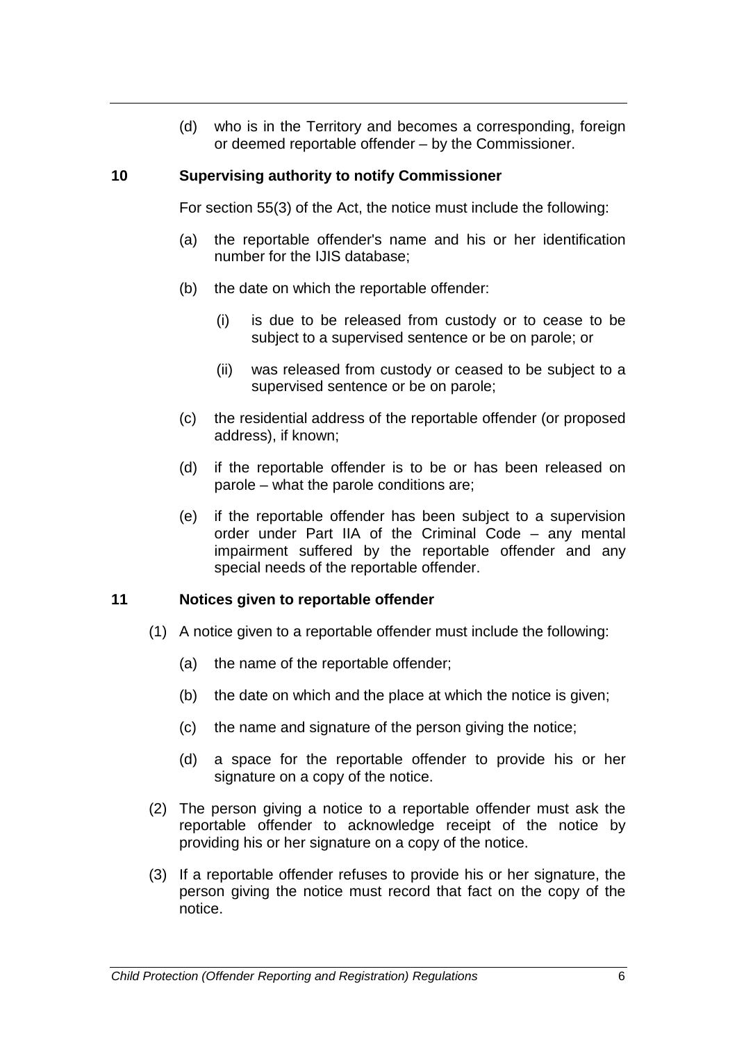(d) who is in the Territory and becomes a corresponding, foreign or deemed reportable offender – by the Commissioner.

#### **10 Supervising authority to notify Commissioner**

For section 55(3) of the Act, the notice must include the following:

- (a) the reportable offender's name and his or her identification number for the IJIS database;
- (b) the date on which the reportable offender:
	- (i) is due to be released from custody or to cease to be subject to a supervised sentence or be on parole; or
	- (ii) was released from custody or ceased to be subject to a supervised sentence or be on parole;
- (c) the residential address of the reportable offender (or proposed address), if known;
- (d) if the reportable offender is to be or has been released on parole – what the parole conditions are;
- (e) if the reportable offender has been subject to a supervision order under Part IIA of the Criminal Code – any mental impairment suffered by the reportable offender and any special needs of the reportable offender.

# **11 Notices given to reportable offender**

- (1) A notice given to a reportable offender must include the following:
	- (a) the name of the reportable offender;
	- (b) the date on which and the place at which the notice is given;
	- (c) the name and signature of the person giving the notice;
	- (d) a space for the reportable offender to provide his or her signature on a copy of the notice.
- (2) The person giving a notice to a reportable offender must ask the reportable offender to acknowledge receipt of the notice by providing his or her signature on a copy of the notice.
- (3) If a reportable offender refuses to provide his or her signature, the person giving the notice must record that fact on the copy of the notice.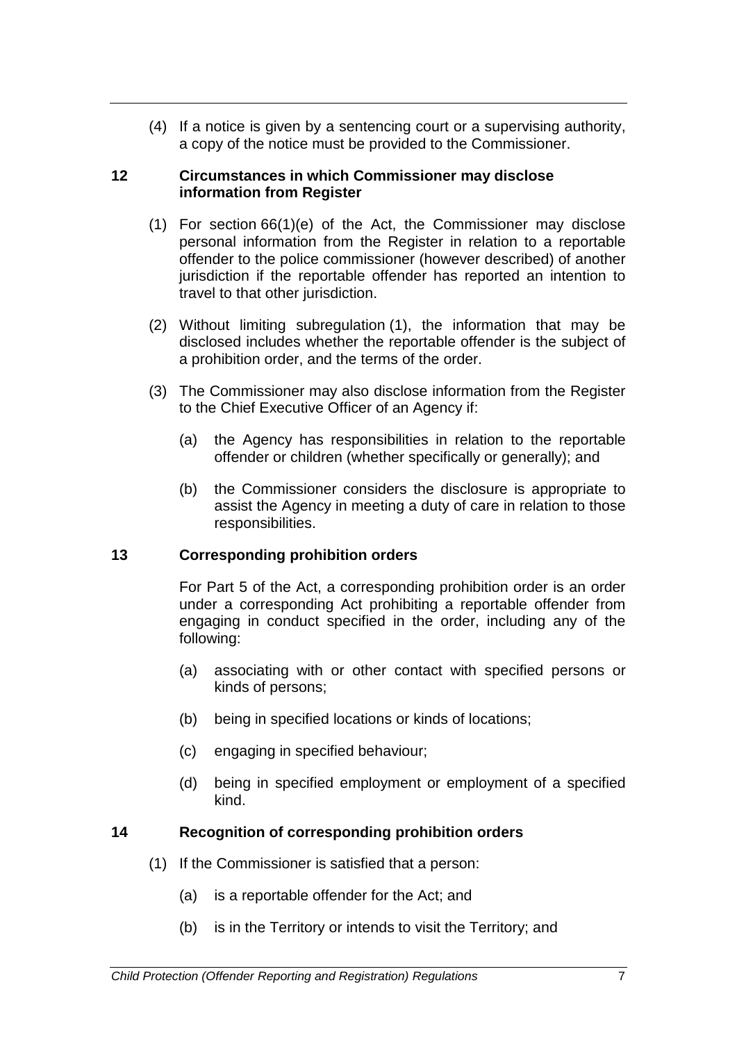(4) If a notice is given by a sentencing court or a supervising authority, a copy of the notice must be provided to the Commissioner.

#### **12 Circumstances in which Commissioner may disclose information from Register**

- (1) For section 66(1)(e) of the Act, the Commissioner may disclose personal information from the Register in relation to a reportable offender to the police commissioner (however described) of another jurisdiction if the reportable offender has reported an intention to travel to that other jurisdiction.
- (2) Without limiting subregulation (1), the information that may be disclosed includes whether the reportable offender is the subject of a prohibition order, and the terms of the order.
- (3) The Commissioner may also disclose information from the Register to the Chief Executive Officer of an Agency if:
	- (a) the Agency has responsibilities in relation to the reportable offender or children (whether specifically or generally); and
	- (b) the Commissioner considers the disclosure is appropriate to assist the Agency in meeting a duty of care in relation to those responsibilities.

#### **13 Corresponding prohibition orders**

For Part 5 of the Act, a corresponding prohibition order is an order under a corresponding Act prohibiting a reportable offender from engaging in conduct specified in the order, including any of the following:

- (a) associating with or other contact with specified persons or kinds of persons;
- (b) being in specified locations or kinds of locations;
- (c) engaging in specified behaviour;
- (d) being in specified employment or employment of a specified kind.

# **14 Recognition of corresponding prohibition orders**

- (1) If the Commissioner is satisfied that a person:
	- (a) is a reportable offender for the Act; and
	- (b) is in the Territory or intends to visit the Territory; and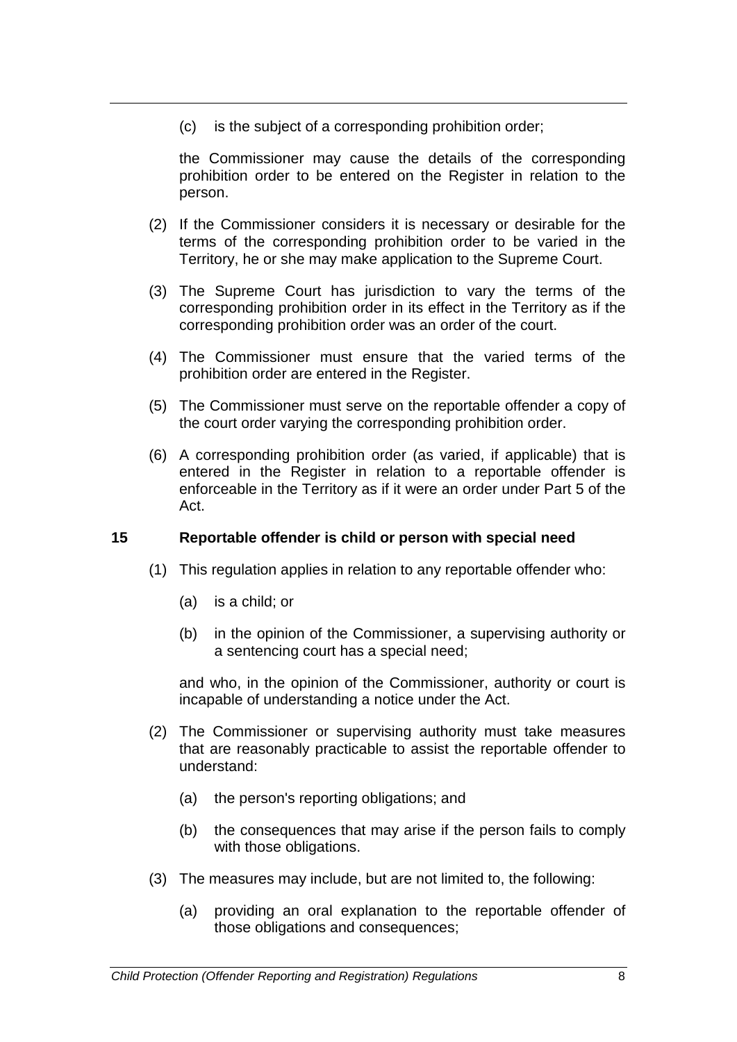(c) is the subject of a corresponding prohibition order;

the Commissioner may cause the details of the corresponding prohibition order to be entered on the Register in relation to the person.

- (2) If the Commissioner considers it is necessary or desirable for the terms of the corresponding prohibition order to be varied in the Territory, he or she may make application to the Supreme Court.
- (3) The Supreme Court has jurisdiction to vary the terms of the corresponding prohibition order in its effect in the Territory as if the corresponding prohibition order was an order of the court.
- (4) The Commissioner must ensure that the varied terms of the prohibition order are entered in the Register.
- (5) The Commissioner must serve on the reportable offender a copy of the court order varying the corresponding prohibition order.
- (6) A corresponding prohibition order (as varied, if applicable) that is entered in the Register in relation to a reportable offender is enforceable in the Territory as if it were an order under Part 5 of the Act.

# **15 Reportable offender is child or person with special need**

- (1) This regulation applies in relation to any reportable offender who:
	- (a) is a child; or
	- (b) in the opinion of the Commissioner, a supervising authority or a sentencing court has a special need;

and who, in the opinion of the Commissioner, authority or court is incapable of understanding a notice under the Act.

- (2) The Commissioner or supervising authority must take measures that are reasonably practicable to assist the reportable offender to understand:
	- (a) the person's reporting obligations; and
	- (b) the consequences that may arise if the person fails to comply with those obligations.
- (3) The measures may include, but are not limited to, the following:
	- (a) providing an oral explanation to the reportable offender of those obligations and consequences;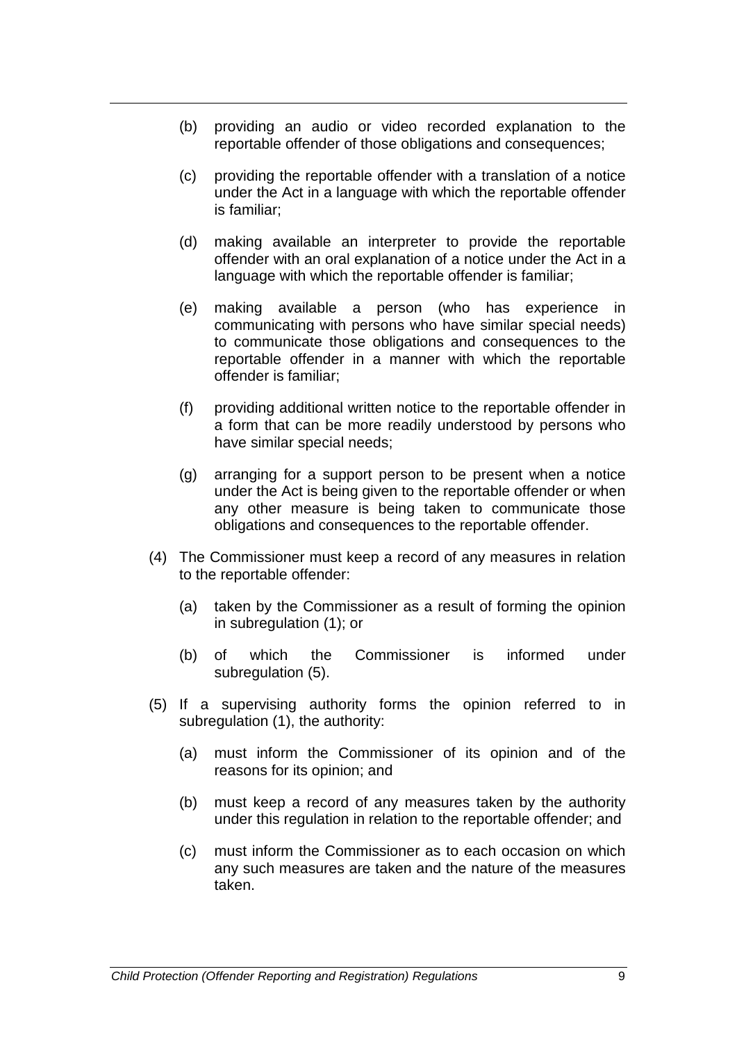- (b) providing an audio or video recorded explanation to the reportable offender of those obligations and consequences;
- (c) providing the reportable offender with a translation of a notice under the Act in a language with which the reportable offender is familiar;
- (d) making available an interpreter to provide the reportable offender with an oral explanation of a notice under the Act in a language with which the reportable offender is familiar;
- (e) making available a person (who has experience in communicating with persons who have similar special needs) to communicate those obligations and consequences to the reportable offender in a manner with which the reportable offender is familiar;
- (f) providing additional written notice to the reportable offender in a form that can be more readily understood by persons who have similar special needs;
- (g) arranging for a support person to be present when a notice under the Act is being given to the reportable offender or when any other measure is being taken to communicate those obligations and consequences to the reportable offender.
- (4) The Commissioner must keep a record of any measures in relation to the reportable offender:
	- (a) taken by the Commissioner as a result of forming the opinion in subregulation (1); or
	- (b) of which the Commissioner is informed under subregulation (5).
- (5) If a supervising authority forms the opinion referred to in subregulation (1), the authority:
	- (a) must inform the Commissioner of its opinion and of the reasons for its opinion; and
	- (b) must keep a record of any measures taken by the authority under this regulation in relation to the reportable offender; and
	- (c) must inform the Commissioner as to each occasion on which any such measures are taken and the nature of the measures taken.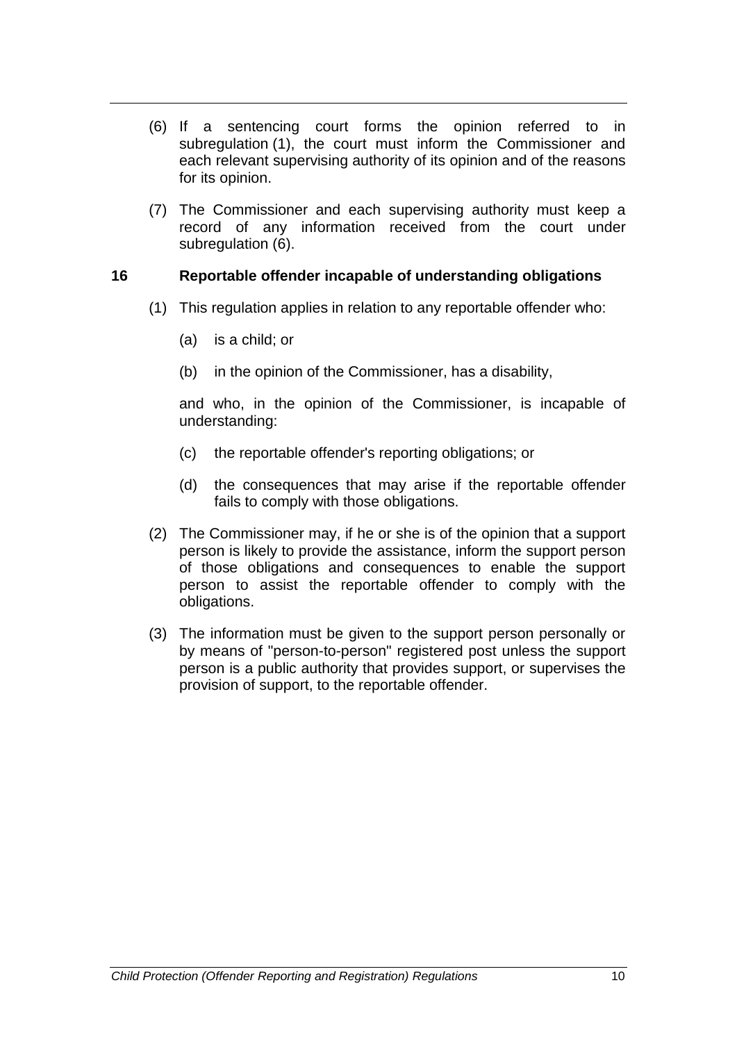- (6) If a sentencing court forms the opinion referred to in subregulation (1), the court must inform the Commissioner and each relevant supervising authority of its opinion and of the reasons for its opinion.
- (7) The Commissioner and each supervising authority must keep a record of any information received from the court under subregulation (6).

### **16 Reportable offender incapable of understanding obligations**

- (1) This regulation applies in relation to any reportable offender who:
	- (a) is a child; or
	- (b) in the opinion of the Commissioner, has a disability,

and who, in the opinion of the Commissioner, is incapable of understanding:

- (c) the reportable offender's reporting obligations; or
- (d) the consequences that may arise if the reportable offender fails to comply with those obligations.
- (2) The Commissioner may, if he or she is of the opinion that a [support](http://www.austlii.edu.au/au/legis/nsw/consol_reg/cprr2001494/s13.html%23support_person)  [person](http://www.austlii.edu.au/au/legis/nsw/consol_reg/cprr2001494/s13.html%23support_person) is likely to provide the assistance, inform the [support person](http://www.austlii.edu.au/au/legis/nsw/consol_reg/cprr2001494/s13.html%23support_person) of those obligations and consequences to enable the support person to assist the reportable offender to comply with the obligations.
- (3) The information must be given to the [support person](http://www.austlii.edu.au/au/legis/nsw/consol_reg/cprr2001494/s13.html%23support_person) personally or by means of "person-to-person" registered post unless the [support](http://www.austlii.edu.au/au/legis/nsw/consol_reg/cprr2001494/s13.html%23support_person)  [person](http://www.austlii.edu.au/au/legis/nsw/consol_reg/cprr2001494/s13.html%23support_person) is a public authority that provides support, or supervises the provision of support, to the reportable offender.